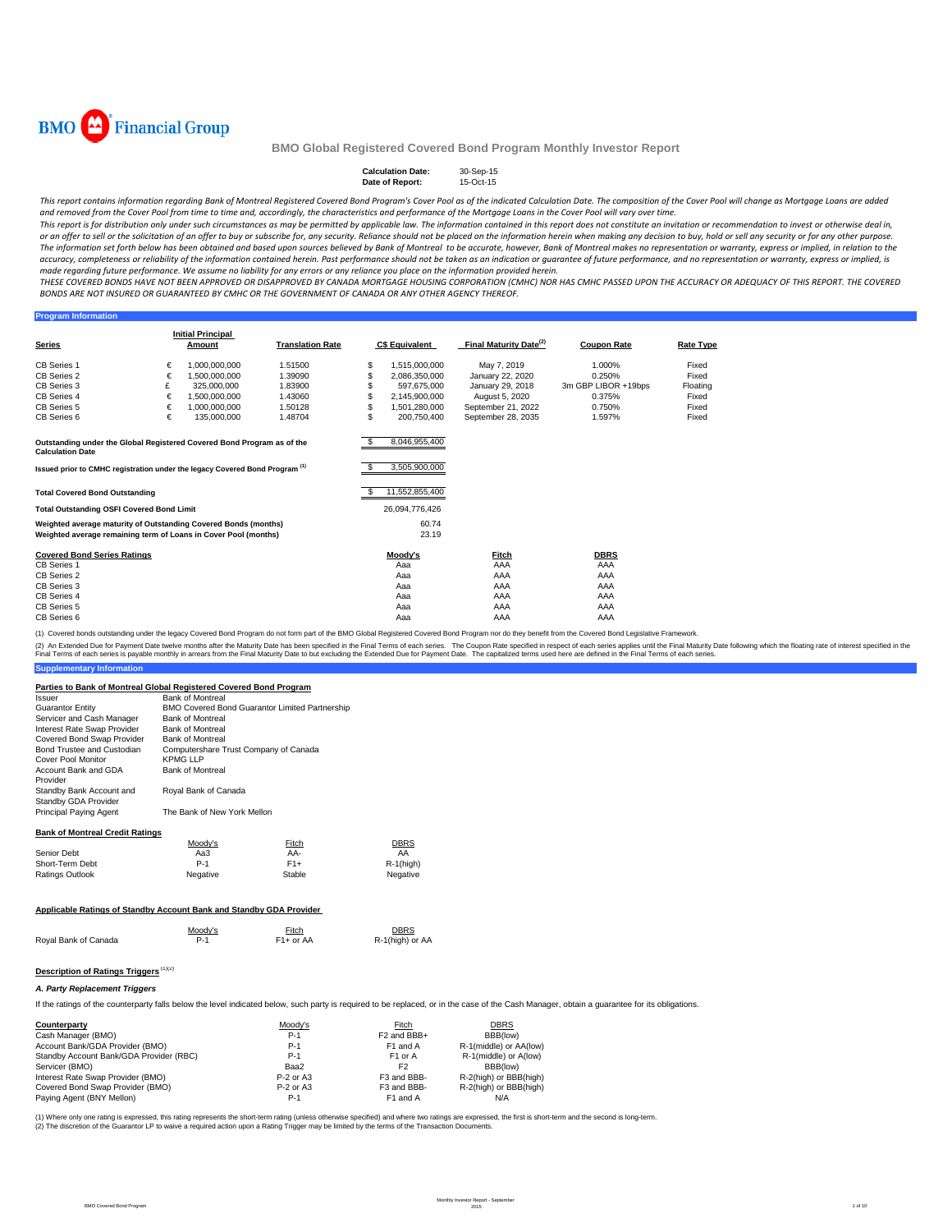

#### **Calculation Date:** 30-Sep-15<br> **Date of Report:** 15-Oct-15 **Date of Report:**

This report contains information regarding Bank of Montreal Registered Covered Bond Program's Cover Pool as of the indicated Calculation Date. The composition of the Cover Pool will change as Mortgage Loans are added and removed from the Cover Pool from time to time and, accordingly, the characteristics and performance of the Mortgage Loans in the Cover Pool will vary over time.

This report is for distribution only under such circumstances as may be permitted by applicable law. The information contained in this report does not constitute an invitation or recommendation to invest or otherwise deal or an offer to sell or the solicitation of an offer to buy or subscribe for, any security. Reliance should not be placed on the information herein when making any decision to buy, hold or sell any security or for any other The information set forth below has been obtained and based upon sources believed by Bank of Montreal to be accurate, however, Bank of Montreal makes no representation or warranty, express or implied, in relation to the accuracy, completeness or reliability of the information contained herein. Past performance should not be taken as an indication or guarantee of future performance, and no representation or warranty, express or implied, is made regarding future performance. We assume no liability for any errors or any reliance you place on the information provided herein.

THESE COVERED BONDS HAVE NOT BEEN APPROVED OR DISAPPROVED BY CANADA MORTGAGE HOUSING CORPORATION (CMHC) NOR HAS CMHC PASSED UPON THE ACCURACY OR ADFOUACY OF THIS REPORT. THE COVERED BONDS ARE NOT INSURED OR GUARANTEED BY CMHC OR THE GOVERNMENT OF CANADA OR ANY OTHER AGENCY THEREOF.

#### **Program Information**

|                                                                                                   |   | <b>Initial Principal</b> |                         |     |                       |                                    |                     |                  |
|---------------------------------------------------------------------------------------------------|---|--------------------------|-------------------------|-----|-----------------------|------------------------------------|---------------------|------------------|
| <b>Series</b>                                                                                     |   | <b>Amount</b>            | <b>Translation Rate</b> |     | <b>C\$ Equivalent</b> | Final Maturity Date <sup>(2)</sup> | <b>Coupon Rate</b>  | <b>Rate Type</b> |
| <b>CB Series 1</b>                                                                                | € | 1.000.000.000            | 1.51500                 | \$  | 1.515.000.000         | May 7, 2019                        | 1.000%              | Fixed            |
| CB Series 2                                                                                       | € | 1.500.000.000            | 1.39090                 | S.  | 2,086,350,000         | January 22, 2020                   | 0.250%              | Fixed            |
| CB Series 3                                                                                       | £ | 325,000,000              | 1.83900                 |     | 597.675.000           | January 29, 2018                   | 3m GBP LIBOR +19bps | Floating         |
| CB Series 4                                                                                       | € | 1.500.000.000            | 1.43060                 | \$  | 2.145.900.000         | August 5, 2020                     | 0.375%              | Fixed            |
| CB Series 5                                                                                       | € | 1.000.000.000            | 1.50128                 | \$  | 1.501.280.000         | September 21, 2022                 | 0.750%              | Fixed            |
| CB Series 6                                                                                       | € | 135,000,000              | 1.48704                 | \$. | 200.750.400           | September 28, 2035                 | 1.597%              | Fixed            |
|                                                                                                   |   |                          |                         |     |                       |                                    |                     |                  |
|                                                                                                   |   |                          |                         |     |                       |                                    |                     |                  |
| Outstanding under the Global Registered Covered Bond Program as of the<br><b>Calculation Date</b> |   |                          |                         |     | 8,046,955,400         |                                    |                     |                  |
|                                                                                                   |   |                          |                         |     | 3,505,900,000         |                                    |                     |                  |
| Issued prior to CMHC registration under the legacy Covered Bond Program <sup>(1)</sup>            |   |                          |                         |     |                       |                                    |                     |                  |
|                                                                                                   |   |                          |                         |     | 11,552,855,400        |                                    |                     |                  |
| <b>Total Covered Bond Outstanding</b>                                                             |   |                          |                         |     |                       |                                    |                     |                  |
| <b>Total Outstanding OSFI Covered Bond Limit</b>                                                  |   |                          |                         |     | 26,094,776,426        |                                    |                     |                  |
| Weighted average maturity of Outstanding Covered Bonds (months)                                   |   |                          |                         |     | 60.74                 |                                    |                     |                  |
| Weighted average remaining term of Loans in Cover Pool (months)                                   |   |                          |                         |     | 23.19                 |                                    |                     |                  |
| <b>Covered Bond Series Ratings</b>                                                                |   |                          |                         |     |                       |                                    |                     |                  |
| <b>CB Series 1</b>                                                                                |   |                          |                         |     | Moody's<br>Aaa        | Fitch<br>AAA                       | <b>DBRS</b><br>AAA  |                  |
| CB Series 2                                                                                       |   |                          |                         |     | Aaa                   | AAA                                | AAA                 |                  |
| CB Series 3                                                                                       |   |                          |                         |     | Aaa                   | AAA                                | AAA                 |                  |
| CB Series 4                                                                                       |   |                          |                         |     | Aaa                   | AAA                                | AAA                 |                  |
| CB Series 5                                                                                       |   |                          |                         |     | Aaa                   | AAA                                | AAA                 |                  |
|                                                                                                   |   |                          |                         |     |                       |                                    |                     |                  |
| CB Series 6                                                                                       |   |                          |                         |     | Aaa                   | AAA                                | AAA                 |                  |

(1) Covered bonds outstanding under the legacy Covered Bond Program do not form part of the BMO Global Registered Covered Bond Program nor do they benefit from the Covered Bond Legislative Framework.

**Supplementary Information** (2) An Extended Due for Payment Date twelve months after the Maturity Date has been specified in the Final Terms of each series. The Coupon Rate specified in the found help that a base to but excluding the Extended Due for

#### **Parties to Bank of Montreal Global Registered Covered Bond Program**

| and to bailly or morni our orower responsive out of rolled borrer respective | <b>Bank of Montreal</b>               |                                                |                                |
|------------------------------------------------------------------------------|---------------------------------------|------------------------------------------------|--------------------------------|
| <i><b>Issuer</b></i>                                                         |                                       |                                                |                                |
| <b>Guarantor Entity</b>                                                      |                                       | BMO Covered Bond Guarantor Limited Partnership |                                |
| Servicer and Cash Manager                                                    | <b>Bank of Montreal</b>               |                                                |                                |
| Interest Rate Swap Provider                                                  | <b>Bank of Montreal</b>               |                                                |                                |
| Covered Bond Swap Provider                                                   | <b>Bank of Montreal</b>               |                                                |                                |
| Bond Trustee and Custodian                                                   | Computershare Trust Company of Canada |                                                |                                |
| Cover Pool Monitor                                                           | <b>KPMG LLP</b>                       |                                                |                                |
| Account Bank and GDA<br>Provider                                             | <b>Bank of Montreal</b>               |                                                |                                |
| Standby Bank Account and<br>Standby GDA Provider                             | Royal Bank of Canada                  |                                                |                                |
| Principal Paying Agent                                                       | The Bank of New York Mellon           |                                                |                                |
| <b>Bank of Montreal Credit Ratings</b>                                       |                                       |                                                |                                |
|                                                                              | Moody's                               | Fitch                                          | DBRS                           |
| Senior Debt                                                                  | Aa3                                   | AA-                                            | AA                             |
| Short-Term Debt                                                              | $P-1$                                 | $F1+$                                          | $R-1$ (high)                   |
| <b>Ratings Outlook</b>                                                       | Negative                              | Stable                                         | Negative                       |
|                                                                              |                                       |                                                |                                |
| Applicable Ratings of Standby Account Bank and Standby GDA Provider          |                                       |                                                |                                |
| Royal Bank of Canada                                                         | Moody's<br>$P-1$                      | Fitch<br>$F1+$ or AA                           | <b>DBRS</b><br>R-1(high) or AA |
|                                                                              |                                       |                                                |                                |

## **Description of Ratings Triggers** (1)(2)

#### *A. Party Replacement Triggers*

If the ratings of the counterparty falls below the level indicated below, such party is required to be replaced, or in the case of the Cash Manager, obtain a guarantee for its obligations.

| Counterparty                            | Moody's     | Fitch                   | <b>DBRS</b>            |
|-----------------------------------------|-------------|-------------------------|------------------------|
| Cash Manager (BMO)                      | $P-1$       | F <sub>2</sub> and BBB+ | BBB(low)               |
| Account Bank/GDA Provider (BMO)         | $P-1$       | F1 and A                | R-1(middle) or AA(low) |
| Standby Account Bank/GDA Provider (RBC) | $P-1$       | F <sub>1</sub> or A     | R-1(middle) or A(low)  |
| Servicer (BMO)                          | Baa2        | F <sub>2</sub>          | BBB(low)               |
| Interest Rate Swap Provider (BMO)       | $P-2$ or A3 | F3 and BBB-             | R-2(high) or BBB(high) |
| Covered Bond Swap Provider (BMO)        | $P-2$ or A3 | F3 and BBB-             | R-2(high) or BBB(high) |
| Paying Agent (BNY Mellon)               | $P-1$       | F1 and A                | N/A                    |

(1) Where only one rating is expressed, this rating represents the short-term rating (unless otherwise specified) and where two ratings are expressed, the first is short-term and the second is long-term. (2) The discretion of the Guarantor LP to waive a required action upon a Rating Trigger may be limited by the terms of the Transaction Documents.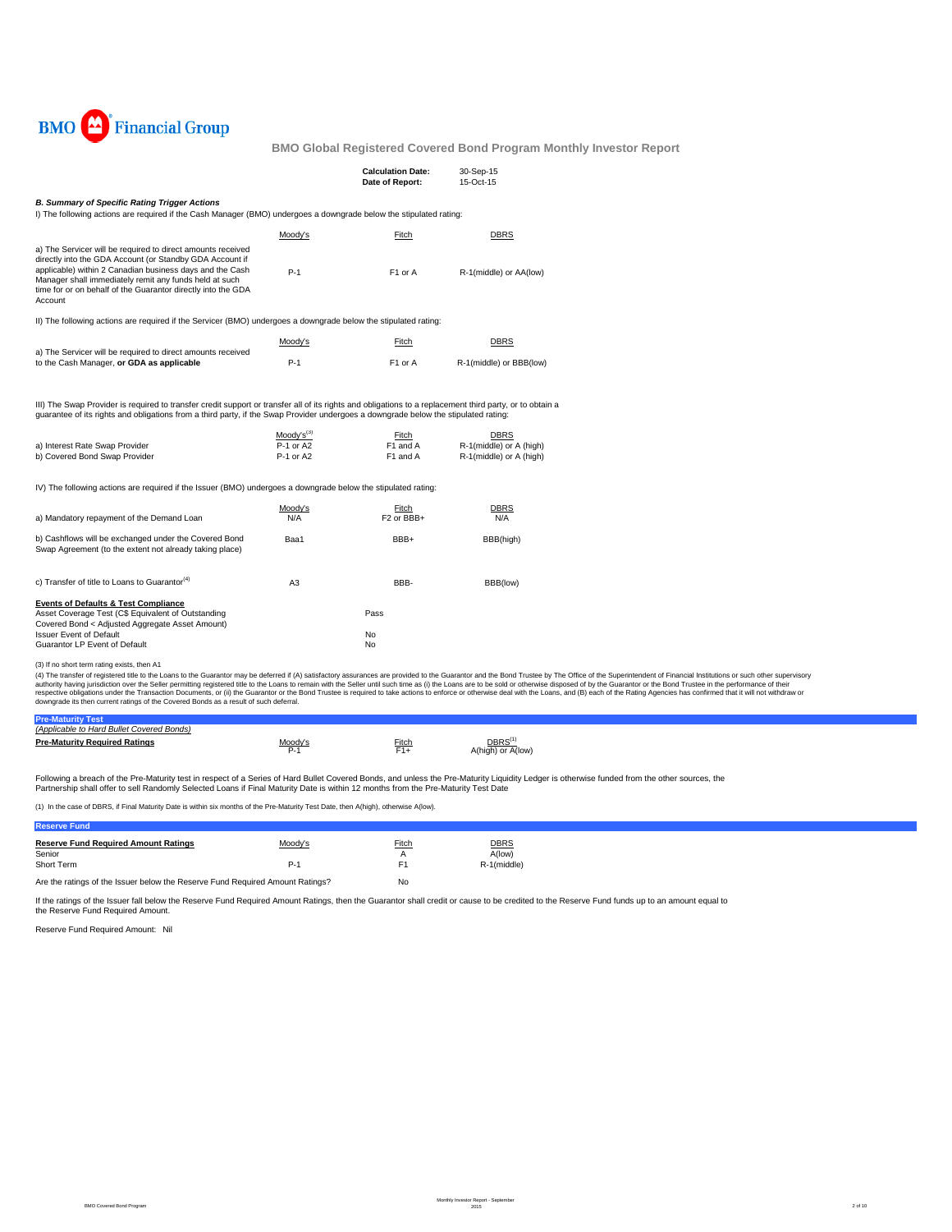

|                                                                                                                                                                                                                                                                                                                                                                    |                                          | <b>Calculation Date:</b><br>Date of Report: | 30-Sep-15<br>15-Oct-15                                            |
|--------------------------------------------------------------------------------------------------------------------------------------------------------------------------------------------------------------------------------------------------------------------------------------------------------------------------------------------------------------------|------------------------------------------|---------------------------------------------|-------------------------------------------------------------------|
| <b>B. Summary of Specific Rating Trigger Actions</b><br>I) The following actions are required if the Cash Manager (BMO) undergoes a downgrade below the stipulated rating:                                                                                                                                                                                         |                                          |                                             |                                                                   |
|                                                                                                                                                                                                                                                                                                                                                                    | Moody's                                  | Fitch                                       | <b>DBRS</b>                                                       |
| a) The Servicer will be required to direct amounts received<br>directly into the GDA Account (or Standby GDA Account if<br>applicable) within 2 Canadian business days and the Cash<br>Manager shall immediately remit any funds held at such<br>time for or on behalf of the Guarantor directly into the GDA<br>Account                                           | $P-1$                                    | F1 or A                                     | R-1(middle) or AA(low)                                            |
| II) The following actions are required if the Servicer (BMO) undergoes a downgrade below the stipulated rating:                                                                                                                                                                                                                                                    |                                          |                                             |                                                                   |
|                                                                                                                                                                                                                                                                                                                                                                    | Moody's                                  | <b>Fitch</b>                                | <b>DBRS</b>                                                       |
| a) The Servicer will be required to direct amounts received<br>to the Cash Manager, or GDA as applicable                                                                                                                                                                                                                                                           | $P-1$                                    | F1 or A                                     | R-1(middle) or BBB(low)                                           |
| III) The Swap Provider is required to transfer credit support or transfer all of its rights and obligations to a replacement third party, or to obtain a<br>guarantee of its rights and obligations from a third party, if the Swap Provider undergoes a downgrade below the stipulated rating:<br>a) Interest Rate Swap Provider<br>b) Covered Bond Swap Provider | $Mody's^{(3)}$<br>P-1 or A2<br>P-1 or A2 | Fitch<br>F1 and A<br>F1 and A               | <b>DBRS</b><br>R-1(middle) or A (high)<br>R-1(middle) or A (high) |
| IV) The following actions are required if the Issuer (BMO) undergoes a downgrade below the stipulated rating:                                                                                                                                                                                                                                                      |                                          |                                             |                                                                   |
| a) Mandatory repayment of the Demand Loan                                                                                                                                                                                                                                                                                                                          | Moody's<br>N/A                           | Fitch<br>F <sub>2</sub> or BBB+             | DBRS<br>N/A                                                       |
| b) Cashflows will be exchanged under the Covered Bond<br>Swap Agreement (to the extent not already taking place)                                                                                                                                                                                                                                                   | Baa1                                     | BBB+                                        | BBB(high)                                                         |
| c) Transfer of title to Loans to Guarantor <sup>(4)</sup>                                                                                                                                                                                                                                                                                                          | A <sub>3</sub>                           | BBB-                                        | BBB(low)                                                          |
| <b>Events of Defaults &amp; Test Compliance</b><br>Asset Coverage Test (C\$ Equivalent of Outstanding                                                                                                                                                                                                                                                              |                                          | Pass                                        |                                                                   |
| Covered Bond < Adjusted Aggregate Asset Amount)<br><b>Issuer Event of Default</b>                                                                                                                                                                                                                                                                                  |                                          | No                                          |                                                                   |

Guarantor LP Event of Default No. 2006. The Courant of Default No.

(3) If no short term rating exists, then A1

(4) The transfer of registered title to the Loans to the Guarantor may be deferred if (A) satisfactory assurances are provided to the Guarantor and the Belle remains of profile to the Superintent of Financial Institutions

| <b>Pre-Maturity</b><br>Test               |                  |                     |                                         |
|-------------------------------------------|------------------|---------------------|-----------------------------------------|
| (Applicable to Hard Bullet Covered Bonds) |                  |                     |                                         |
| <b>Pre-Maturity Required Ratings</b>      | Moody's<br>$P-1$ | <b>Fitch</b><br>F1+ | DBRS <sup>(1</sup><br>A(high) or A(low) |
|                                           |                  |                     |                                         |

Following a breach of the Pre-Maturity test in respect of a Series of Hard Bullet Covered Bonds, and unless the Pre-Maturity Liquidity Ledger is otherwise funded from the other sources, the<br>Partnership shall offer to sell

(1) In the case of DBRS, if Final Maturity Date is within six months of the Pre-Maturity Test Date, then A(high), otherwise A(low).

### **Reserve Fund**

| <b>Reserve Fund Required Amount Ratings</b><br>Senior<br>Short Term           | Moody's<br>P-1 | <b>Fitch</b><br>А<br>E1 | <b>DBRS</b><br>A(low)<br>R-1(middle) |
|-------------------------------------------------------------------------------|----------------|-------------------------|--------------------------------------|
| Are the ratings of the Issuer below the Reserve Fund Required Amount Ratings? |                | No                      |                                      |

If the ratings of the Issuer fall below the Reserve Fund Required Amount Ratings, then the Guarantor shall credit or cause to be credited to the Reserve Fund funds up to an amount equal to the Reserve Fund Required Amount.

Reserve Fund Required Amount: Nil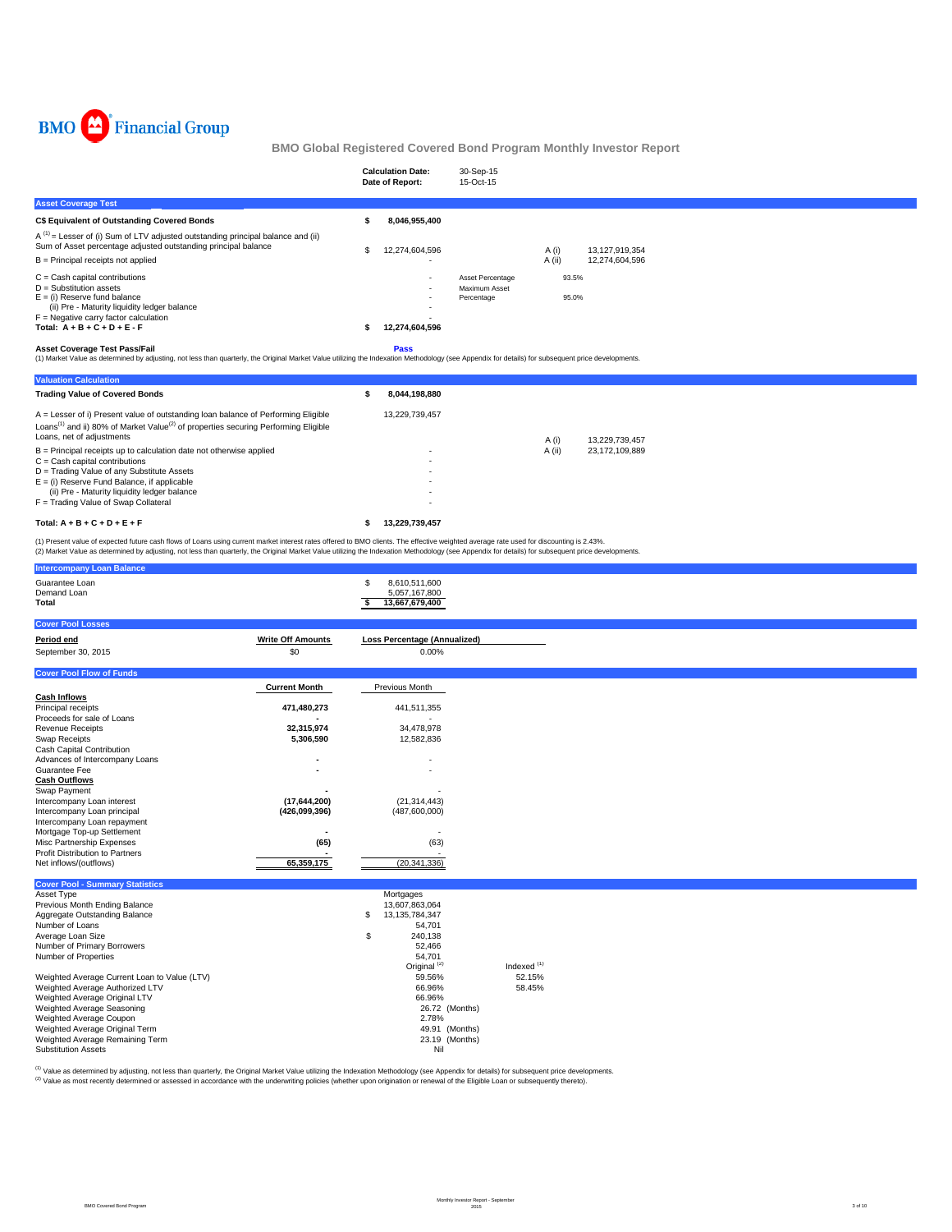

|                                                                                                                                                                                                                                                                      | <b>Calculation Date:</b><br>Date of Report:                                    | 30-Sep-15<br>15-Oct-15                          |                   |                                  |  |  |  |  |
|----------------------------------------------------------------------------------------------------------------------------------------------------------------------------------------------------------------------------------------------------------------------|--------------------------------------------------------------------------------|-------------------------------------------------|-------------------|----------------------------------|--|--|--|--|
| <b>Asset Coverage Test</b>                                                                                                                                                                                                                                           |                                                                                |                                                 |                   |                                  |  |  |  |  |
| <b>C\$ Equivalent of Outstanding Covered Bonds</b>                                                                                                                                                                                                                   | 8,046,955,400                                                                  |                                                 |                   |                                  |  |  |  |  |
| $A^{(1)}$ = Lesser of (i) Sum of LTV adjusted outstanding principal balance and (ii)<br>Sum of Asset percentage adjusted outstanding principal balance<br>$B =$ Principal receipts not applied                                                                       | 12,274,604,596                                                                 |                                                 | A (i)<br>$A$ (ii) | 13,127,919,354<br>12,274,604,596 |  |  |  |  |
| $C =$ Cash capital contributions<br>$D =$ Substitution assets<br>$E =$ (i) Reserve fund balance<br>(ii) Pre - Maturity liquidity ledger balance<br>$F =$ Negative carry factor calculation<br>Total: $A + B + C + D + E - F$<br><b>Asset Coverage Test Pass/Fail</b> | $\overline{\phantom{a}}$<br>$\overline{\phantom{a}}$<br>12,274,604,596<br>Pass | Asset Percentage<br>Maximum Asset<br>Percentage | 93.5%<br>95.0%    |                                  |  |  |  |  |
| (1) Market Value as determined by adjusting, not less than quarterly, the Original Market Value utilizing the Indexation Methodology (see Appendix for details) for subsequent price developments.                                                                   |                                                                                |                                                 |                   |                                  |  |  |  |  |
| <b>Valuation Calculation</b>                                                                                                                                                                                                                                         |                                                                                |                                                 |                   |                                  |  |  |  |  |
| <b>Trading Value of Covered Bonds</b>                                                                                                                                                                                                                                | 8,044,198,880                                                                  |                                                 |                   |                                  |  |  |  |  |
| A = Lesser of i) Present value of outstanding loan balance of Performing Eligible<br>Loans <sup>(1)</sup> and ii) 80% of Market Value <sup>(2)</sup> of properties securing Performing Eligible<br>.                                                                 | 13,229,739,457                                                                 |                                                 |                   |                                  |  |  |  |  |

| Total: $A + B + C + D + E + F$                                             | 13.229.739.457 |        |                |
|----------------------------------------------------------------------------|----------------|--------|----------------|
| $F =$ Trading Value of Swap Collateral                                     | ۰              |        |                |
| (ii) Pre - Maturity liquidity ledger balance                               | ۰              |        |                |
| $E =$ (i) Reserve Fund Balance, if applicable                              | ۰              |        |                |
| D = Trading Value of any Substitute Assets                                 | ۰              |        |                |
| $C =$ Cash capital contributions                                           | ۰              |        |                |
| $B =$ Principal receipts up to calculation date not otherwise applied      | ۰              | A (ii) | 23.172.109.889 |
| Loans, net of adjustments                                                  |                | A (i)  | 13.229.739.457 |
| Loans and if you're mained value or properties securing renorming Liigipie |                |        |                |

(1) Present value of expected future cash flows of Loans using current market interest rates offered to BMO clients. The effective weighted average rate used for discounting is 2.43%.<br>(2) Market Value as determined by adju

| <b>Intercompany Loan Balance</b>                                                                                           |                          |                                                              |               |  |  |
|----------------------------------------------------------------------------------------------------------------------------|--------------------------|--------------------------------------------------------------|---------------|--|--|
| Guarantee Loan<br>Demand Loan<br>Total                                                                                     |                          | \$<br>8,610,511,600<br>5,057,167,800<br>13,667,679,400<br>s. |               |  |  |
| <b>Cover Pool Losses</b>                                                                                                   |                          |                                                              |               |  |  |
| Period end                                                                                                                 | <b>Write Off Amounts</b> | Loss Percentage (Annualized)                                 |               |  |  |
| September 30, 2015                                                                                                         | \$0                      | 0.00%                                                        |               |  |  |
| <b>Cover Pool Flow of Funds</b>                                                                                            |                          |                                                              |               |  |  |
|                                                                                                                            | <b>Current Month</b>     | Previous Month                                               |               |  |  |
| <b>Cash Inflows</b>                                                                                                        |                          |                                                              |               |  |  |
| Principal receipts                                                                                                         | 471,480,273              | 441,511,355                                                  |               |  |  |
| Proceeds for sale of Loans                                                                                                 |                          |                                                              |               |  |  |
| <b>Revenue Receipts</b>                                                                                                    | 32,315,974               | 34,478,978                                                   |               |  |  |
| Swap Receipts                                                                                                              | 5,306,590                | 12,582,836                                                   |               |  |  |
| <b>Cash Capital Contribution</b>                                                                                           |                          |                                                              |               |  |  |
| Advances of Intercompany Loans<br>Guarantee Fee                                                                            |                          |                                                              |               |  |  |
| <b>Cash Outflows</b>                                                                                                       |                          |                                                              |               |  |  |
| Swap Payment                                                                                                               |                          |                                                              |               |  |  |
| Intercompany Loan interest                                                                                                 | (17, 644, 200)           | (21, 314, 443)                                               |               |  |  |
| Intercompany Loan principal                                                                                                | (426,099,396)            | (487,600,000)                                                |               |  |  |
| Intercompany Loan repayment                                                                                                |                          |                                                              |               |  |  |
| Mortgage Top-up Settlement                                                                                                 | ٠                        | ٠                                                            |               |  |  |
| Misc Partnership Expenses                                                                                                  | (65)                     | (63)                                                         |               |  |  |
| <b>Profit Distribution to Partners</b><br>Net inflows/(outflows)                                                           | 65,359,175               | (20, 341, 336)                                               |               |  |  |
|                                                                                                                            |                          |                                                              |               |  |  |
| <b>Cover Pool - Summary Statistics</b>                                                                                     |                          |                                                              |               |  |  |
| Asset Type                                                                                                                 |                          | Mortgages                                                    |               |  |  |
| Previous Month Ending Balance                                                                                              |                          | 13,607,863,064                                               |               |  |  |
| Aggregate Outstanding Balance                                                                                              |                          | 13, 135, 784, 347<br>\$                                      |               |  |  |
| Number of Loans<br>Average Loan Size                                                                                       |                          | 54,701<br>240,138<br>\$                                      |               |  |  |
| Number of Primary Borrowers                                                                                                |                          | 52,466                                                       |               |  |  |
| Number of Properties                                                                                                       |                          | 54,701                                                       |               |  |  |
|                                                                                                                            |                          | Original <sup>(2)</sup>                                      | Indexed $(1)$ |  |  |
| Weighted Average Current Loan to Value (LTV)                                                                               |                          | 59.56%                                                       | 52.15%        |  |  |
| Weighted Average Authorized LTV                                                                                            |                          | 66.96%                                                       | 58.45%        |  |  |
| Weighted Average Original LTV                                                                                              |                          | 66.96%                                                       |               |  |  |
|                                                                                                                            |                          |                                                              |               |  |  |
|                                                                                                                            |                          |                                                              |               |  |  |
|                                                                                                                            |                          |                                                              |               |  |  |
| <b>Substitution Assets</b>                                                                                                 |                          | Nil                                                          |               |  |  |
| Weighted Average Seasoning<br>Weighted Average Coupon<br>Weighted Average Original Term<br>Weighted Average Remaining Term |                          | 26.72 (Months)<br>2.78%<br>49.91 (Months)<br>23.19 (Months)  |               |  |  |

<sup>(1)</sup> Value as determined by adjusting, not less than quarterly, the Original Market Value utilizing the Indexation Methodology (see Appendix for details) for subsequent price developments.<br><sup>(2)</sup> Value as most recently det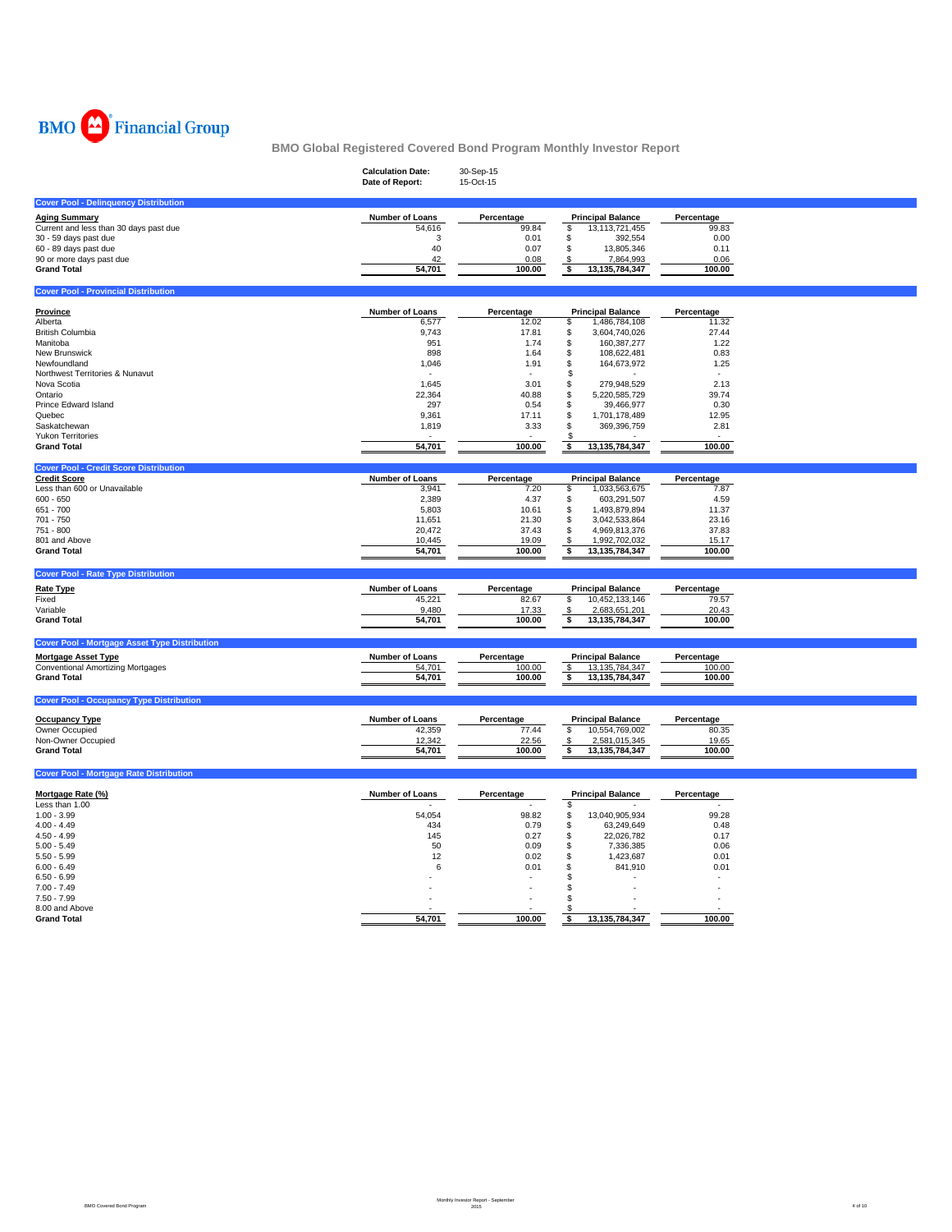

|                                                      | <b>Calculation Date:</b><br>Date of Report: | 30-Sep-15<br>15-Oct-15 |                                                 |                     |  |
|------------------------------------------------------|---------------------------------------------|------------------------|-------------------------------------------------|---------------------|--|
| <b>Cover Pool - Delinquency Distribution</b>         |                                             |                        |                                                 |                     |  |
| <b>Aging Summary</b>                                 | Number of Loans                             | Percentage             | <b>Principal Balance</b>                        | Percentage          |  |
| Current and less than 30 days past due               | 54,616                                      | 99.84                  | \$<br>13, 13, 721, 455                          | 99.83               |  |
| 30 - 59 days past due                                | 3                                           | 0.01                   | \$<br>392,554                                   | 0.00                |  |
| 60 - 89 days past due                                | 40                                          | 0.07                   | \$<br>13,805,346                                | 0.11                |  |
| 90 or more days past due                             | 42                                          | 0.08                   | \$<br>7,864,993                                 | 0.06                |  |
| <b>Grand Total</b>                                   | 54,701                                      | 100.00                 | \$<br>13,135,784,347                            | 100.00              |  |
| <b>Cover Pool - Provincial Distribution</b>          |                                             |                        |                                                 |                     |  |
|                                                      |                                             |                        |                                                 |                     |  |
| Province<br>Alberta                                  | Number of Loans<br>6,577                    | Percentage<br>12.02    | <b>Principal Balance</b><br>1,486,784,108<br>\$ | Percentage<br>11.32 |  |
| <b>British Columbia</b>                              | 9,743                                       | 17.81                  | 3,604,740,026<br>\$                             | 27.44               |  |
| Manitoba                                             | 951                                         | 1.74                   | 160,387,277<br>\$                               | 1.22                |  |
| New Brunswick                                        | 898                                         | 1.64                   | \$<br>108,622,481                               | 0.83                |  |
| Newfoundland                                         | 1,046                                       | 1.91                   | \$<br>164,673,972                               | 1.25                |  |
| Northwest Territories & Nunavut                      |                                             |                        | \$                                              |                     |  |
| Nova Scotia                                          | 1,645                                       | 3.01                   | \$<br>279,948,529                               | 2.13                |  |
| Ontario                                              | 22,364                                      | 40.88                  | 5,220,585,729<br>\$                             | 39.74               |  |
| <b>Prince Edward Island</b>                          | 297                                         | 0.54                   | \$<br>39,466,977                                | 0.30                |  |
| Quebec                                               | 9,361                                       | 17.11                  | \$<br>1,701,178,489                             | 12.95               |  |
| Saskatchewan                                         | 1,819                                       | 3.33                   | \$<br>369,396,759                               | 2.81                |  |
| <b>Yukon Territories</b>                             |                                             |                        |                                                 |                     |  |
| <b>Grand Total</b>                                   | 54,701                                      | 100.00                 | \$<br>13,135,784,347                            | 100.00              |  |
| <b>Cover Pool - Credit Score Distribution</b>        |                                             |                        |                                                 |                     |  |
| <b>Credit Score</b>                                  | Number of Loans                             | Percentage             | <b>Principal Balance</b>                        | Percentage          |  |
| Less than 600 or Unavailable                         | 3,941                                       | 7.20                   | 1,033,563,675<br>\$                             | 7.87                |  |
| $600 - 650$                                          | 2,389                                       | 4.37                   | \$<br>603,291,507                               | 4.59                |  |
| 651 - 700                                            | 5,803                                       | 10.61                  | 1,493,879,894<br>\$                             | 11.37               |  |
| 701 - 750                                            | 11,651                                      | 21.30                  | \$<br>3,042,533,864                             | 23.16               |  |
| 751 - 800                                            | 20,472                                      | 37.43                  | \$<br>4,969,813,376                             | 37.83               |  |
| 801 and Above                                        | 10,445                                      | 19.09                  | 1,992,702,032<br>\$                             | 15.17               |  |
| <b>Grand Total</b>                                   | 54,701                                      | 100.00                 | \$<br>13, 135, 784, 347                         | 100.00              |  |
| <b>Cover Pool - Rate Type Distribution</b>           |                                             |                        |                                                 |                     |  |
|                                                      |                                             |                        |                                                 |                     |  |
| Rate Type                                            | Number of Loans                             | Percentage             | <b>Principal Balance</b>                        | Percentage<br>79.57 |  |
| Fixed<br>Variable                                    | 45,221<br>9,480                             | 82.67<br>17.33         | \$<br>10,452,133,146<br>2,683,651,201<br>S      | 20.43               |  |
| <b>Grand Total</b>                                   | 54,701                                      | 100.00                 | \$<br>13, 135, 784, 347                         | 100.00              |  |
|                                                      |                                             |                        |                                                 |                     |  |
| <b>Cover Pool - Mortgage Asset Type Distribution</b> |                                             |                        |                                                 |                     |  |
| <b>Mortgage Asset Type</b>                           | Number of Loans                             | Percentage             | <b>Principal Balance</b>                        | Percentage          |  |
| <b>Conventional Amortizing Mortgages</b>             | 54,701                                      | 100.00                 | \$<br>13, 135, 784, 347                         | 100.00              |  |
| <b>Grand Total</b>                                   | 54,701                                      | 100.00                 | \$<br>13,135,784,347                            | 100.00              |  |
| <b>Cover Pool - Occupancy Type Distribution</b>      |                                             |                        |                                                 |                     |  |
|                                                      |                                             |                        |                                                 |                     |  |
| <b>Occupancy Type</b>                                | <b>Number of Loans</b>                      | Percentage             | <b>Principal Balance</b>                        | Percentage          |  |
| Owner Occupied                                       | 42,359                                      | 77.44                  | 10,554,769,002<br>\$                            | 80.35               |  |
| Non-Owner Occupied                                   | 12,342                                      | 22.56                  | 2,581,015,345<br>\$                             | 19.65               |  |
| <b>Grand Total</b>                                   | 54,701                                      | 100.00                 | \$<br>13, 135, 784, 347                         | 100.00              |  |
| <b>Cover Pool - Mortgage Rate Distribution</b>       |                                             |                        |                                                 |                     |  |
|                                                      |                                             |                        |                                                 |                     |  |
| Mortgage Rate (%)<br>Less than 1.00                  | Number of Loans                             | Percentage             | <b>Principal Balance</b><br>$\mathbf{s}$        | Percentage          |  |
| $1.00 - 3.99$                                        |                                             |                        | 13,040,905,934                                  | 99.28               |  |
| $4.00 - 4.49$                                        | 54,054<br>434                               | 98.82<br>0.79          | \$<br>\$<br>63,249,649                          | 0.48                |  |
| $4.50 - 4.99$                                        | 145                                         | 0.27                   | \$<br>22,026,782                                | 0.17                |  |
| $5.00 - 5.49$                                        | 50                                          | 0.09                   | S<br>7,336,385                                  | 0.06                |  |
| $5.50 - 5.99$                                        | 12                                          | 0.02                   | S<br>1,423,687                                  | 0.01                |  |
| $6.00 - 6.49$                                        | 6                                           | 0.01                   | S<br>841,910                                    | 0.01                |  |
| $6.50 - 6.99$                                        |                                             |                        |                                                 |                     |  |
| $7.00 - 7.49$                                        |                                             |                        |                                                 |                     |  |
| $7.50 - 7.99$                                        |                                             |                        |                                                 |                     |  |
| 8.00 and Above                                       |                                             |                        |                                                 |                     |  |
| <b>Grand Total</b>                                   | 54.701                                      | 100.00                 | 13,135,784,347<br>\$                            | 100.00              |  |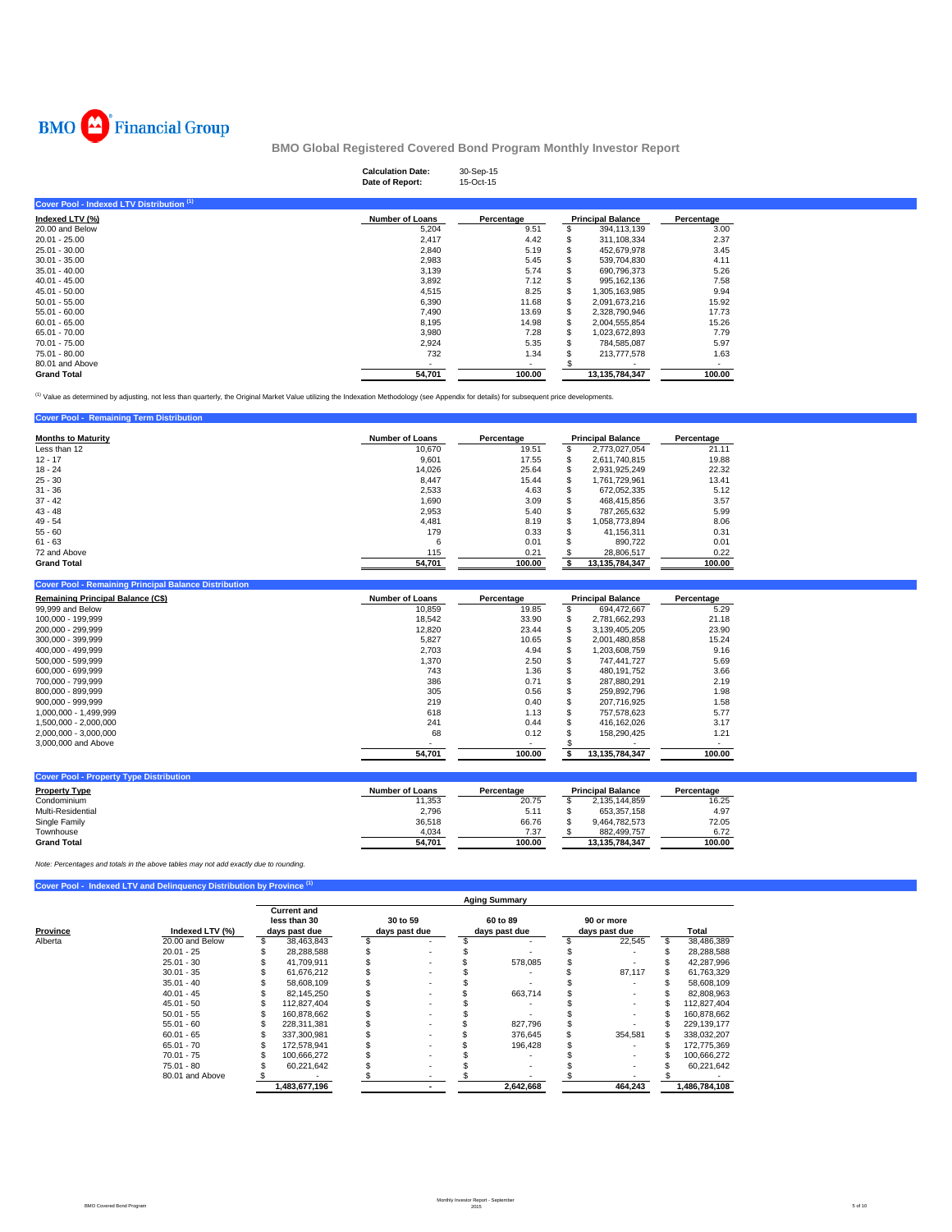

# **Calculation Date:** 30-Sep-15 **Date of Report:** 15-Oct-15

| Cover Pool - Indexed LTV Distribution (1) |                        |                          |                          |            |
|-------------------------------------------|------------------------|--------------------------|--------------------------|------------|
| Indexed LTV (%)                           | <b>Number of Loans</b> | Percentage               | <b>Principal Balance</b> | Percentage |
| 20.00 and Below                           | 5,204                  | 9.51                     | 394,113,139              | 3.00       |
| $20.01 - 25.00$                           | 2.417                  | 4.42                     | \$<br>311,108,334        | 2.37       |
| 25.01 - 30.00                             | 2,840                  | 5.19                     | \$<br>452.679.978        | 3.45       |
| $30.01 - 35.00$                           | 2,983                  | 5.45                     | 539.704.830              | 4.11       |
| $35.01 - 40.00$                           | 3,139                  | 5.74                     | 690,796,373              | 5.26       |
| $40.01 - 45.00$                           | 3,892                  | 7.12                     | 995, 162, 136            | 7.58       |
| $45.01 - 50.00$                           | 4,515                  | 8.25                     | \$<br>1.305.163.985      | 9.94       |
| $50.01 - 55.00$                           | 6,390                  | 11.68                    | \$<br>2.091.673.216      | 15.92      |
| $55.01 - 60.00$                           | 7.490                  | 13.69                    | \$<br>2.328.790.946      | 17.73      |
| $60.01 - 65.00$                           | 8,195                  | 14.98                    | \$<br>2,004,555,854      | 15.26      |
| 65.01 - 70.00                             | 3,980                  | 7.28                     | \$<br>1,023,672,893      | 7.79       |
| 70.01 - 75.00                             | 2,924                  | 5.35                     | 784.585.087              | 5.97       |
| 75.01 - 80.00                             | 732                    | 1.34                     | 213,777,578              | 1.63       |
| 80.01 and Above                           |                        | $\overline{\phantom{a}}$ |                          |            |
| <b>Grand Total</b>                        | 54,701                 | 100.00                   | 13.135.784.347           | 100.00     |
|                                           |                        |                          |                          |            |

<sup>(1)</sup> Value as determined by adjusting, not less than quarterly, the Original Market Value utilizing the Indexation Methodology (see Appendix for details) for subsequent price developments.

| <b>Cover Pool - Remaining Term Distribution</b> |                        |            |                          |                |            |
|-------------------------------------------------|------------------------|------------|--------------------------|----------------|------------|
| <b>Months to Maturity</b>                       | <b>Number of Loans</b> | Percentage | <b>Principal Balance</b> |                | Percentage |
| Less than 12                                    | 10.670                 | 19.51      | ъ                        | 2.773.027.054  | 21.11      |
| $12 - 17$                                       | 9,601                  | 17.55      | ъ                        | 2.611.740.815  | 19.88      |
| $18 - 24$                                       | 14.026                 | 25.64      |                          | 2.931.925.249  | 22.32      |
| $25 - 30$                                       | 8.447                  | 15.44      |                          | 1.761.729.961  | 13.41      |
| $31 - 36$                                       | 2.533                  | 4.63       | ж                        | 672.052.335    | 5.12       |
| $37 - 42$                                       | 1.690                  | 3.09       |                          | 468.415.856    | 3.57       |
| $43 - 48$                                       | 2.953                  | 5.40       | æ                        | 787.265.632    | 5.99       |
| $49 - 54$                                       | 4,481                  | 8.19       |                          | 1.058.773.894  | 8.06       |
| $55 - 60$                                       | 179                    | 0.33       |                          | 41.156.311     | 0.31       |
| $61 - 63$                                       | 6                      | 0.01       |                          | 890.722        | 0.01       |
| 72 and Above                                    | 115                    | 0.21       |                          | 28.806.517     | 0.22       |
| <b>Grand Total</b>                              | 54.701                 | 100.00     |                          | 13,135,784,347 | 100.00     |

| <b>Cover Pool - Remaining Principal Balance Distribution</b> |                        |            |                          |            |
|--------------------------------------------------------------|------------------------|------------|--------------------------|------------|
| <b>Remaining Principal Balance (C\$)</b>                     | <b>Number of Loans</b> | Percentage | <b>Principal Balance</b> | Percentage |
| 99,999 and Below                                             | 10.859                 | 19.85      | 694.472.667              | 5.29       |
| 100.000 - 199.999                                            | 18.542                 | 33.90      | 2.781.662.293            | 21.18      |
| 200.000 - 299.999                                            | 12,820                 | 23.44      | 3,139,405,205            | 23.90      |
| 300.000 - 399.999                                            | 5.827                  | 10.65      | 2.001.480.858            | 15.24      |
| 400.000 - 499.999                                            | 2.703                  | 4.94       | 1,203,608,759            | 9.16       |
| 500.000 - 599.999                                            | 1,370                  | 2.50       | 747.441.727              | 5.69       |
| 600.000 - 699.999                                            | 743                    | 1.36       | 480.191.752              | 3.66       |
| 700.000 - 799.999                                            | 386                    | 0.71       | 287.880.291              | 2.19       |
| 800.000 - 899.999                                            | 305                    | 0.56       | 259,892,796              | 1.98       |
| 900.000 - 999.999                                            | 219                    | 0.40       | 207.716.925              | 1.58       |
| 1.000.000 - 1.499.999                                        | 618                    | 1.13       | 757.578.623              | 5.77       |
| 1.500.000 - 2.000.000                                        | 241                    | 0.44       | 416.162.026              | 3.17       |
| 2.000.000 - 3.000.000                                        | 68                     | 0.12       | 158.290.425              | 1.21       |
| 3,000,000 and Above                                          |                        |            |                          |            |
|                                                              | 54,701                 | 100.00     | 13,135,784,347           | 100.00     |
|                                                              |                        |            |                          |            |

| <b>Cover Pool - Property Type Distribution</b> |                 |            |                          |            |
|------------------------------------------------|-----------------|------------|--------------------------|------------|
| <b>Property Type</b>                           | Number of Loans | Percentage | <b>Principal Balance</b> | Percentage |
| Condominium                                    | 11.353          | 20.75      | 2.135.144.859            | 16.25      |
| Multi-Residential                              | 2.796           | 5.11       | 653.357.158              | 4.97       |
| Single Family                                  | 36.518          | 66.76      | 9.464.782.573            | 72.05      |
| Townhouse                                      | 4,034           | 7.37       | 882.499.757              | 6.72       |
| <b>Grand Total</b>                             | 54,701          | 100.00     | 13.135.784.347           | 100.00     |

*Note: Percentages and totals in the above tables may not add exactly due to rounding.*

| Cover Pool - Indexed LTV and Delinquency Distribution by Province (1) |  |  |  |  |
|-----------------------------------------------------------------------|--|--|--|--|
|-----------------------------------------------------------------------|--|--|--|--|

|          |                 |                                                     |               |                           |                          |                           | <b>Aging Summary</b> |                             |                          |               |  |
|----------|-----------------|-----------------------------------------------------|---------------|---------------------------|--------------------------|---------------------------|----------------------|-----------------------------|--------------------------|---------------|--|
| Province | Indexed LTV (%) | <b>Current and</b><br>less than 30<br>days past due |               | 30 to 59<br>days past due |                          | 60 to 89<br>days past due |                      | 90 or more<br>days past due |                          | Total         |  |
| Alberta  | 20.00 and Below |                                                     | 38.463.843    |                           |                          |                           |                      |                             | 22.545                   | 38,486,389    |  |
|          | $20.01 - 25$    |                                                     | 28.288.588    |                           |                          |                           |                      |                             |                          | 28,288,588    |  |
|          | $25.01 - 30$    |                                                     | 41.709.911    |                           | $\overline{\phantom{a}}$ |                           | 578.085              |                             |                          | 42.287.996    |  |
|          | $30.01 - 35$    |                                                     | 61,676,212    |                           | $\overline{\phantom{a}}$ |                           |                      |                             | 87,117                   | 61,763,329    |  |
|          | $35.01 - 40$    |                                                     | 58,608,109    |                           | $\overline{\phantom{a}}$ |                           |                      |                             |                          | 58,608,109    |  |
|          | $40.01 - 45$    |                                                     | 82.145.250    |                           | $\overline{\phantom{a}}$ |                           | 663.714              |                             | ۰.                       | 82,808,963    |  |
|          | $45.01 - 50$    |                                                     | 112.827.404   |                           | $\overline{\phantom{a}}$ |                           |                      |                             |                          | 112,827,404   |  |
|          | $50.01 - 55$    |                                                     | 160.878.662   |                           | $\overline{\phantom{a}}$ |                           |                      |                             | $\overline{\phantom{a}}$ | 160.878.662   |  |
|          | $55.01 - 60$    |                                                     | 228,311,381   |                           | $\overline{\phantom{a}}$ |                           | 827.796              |                             |                          | 229,139,177   |  |
|          | $60.01 - 65$    |                                                     | 337,300,981   |                           | $\overline{\phantom{a}}$ |                           | 376.645              |                             | 354.581                  | 338,032,207   |  |
|          | $65.01 - 70$    |                                                     | 172.578.941   |                           | $\overline{\phantom{a}}$ |                           | 196.428              |                             |                          | 172,775,369   |  |
|          | $70.01 - 75$    |                                                     | 100.666.272   |                           |                          |                           |                      |                             |                          | 100.666.272   |  |
|          | 75.01 - 80      |                                                     | 60,221,642    |                           |                          |                           |                      |                             |                          | 60,221,642    |  |
|          | 80.01 and Above |                                                     |               |                           |                          |                           |                      |                             |                          |               |  |
|          |                 |                                                     | 1,483,677,196 |                           |                          |                           | 2,642,668            |                             | 464.243                  | 1,486,784,108 |  |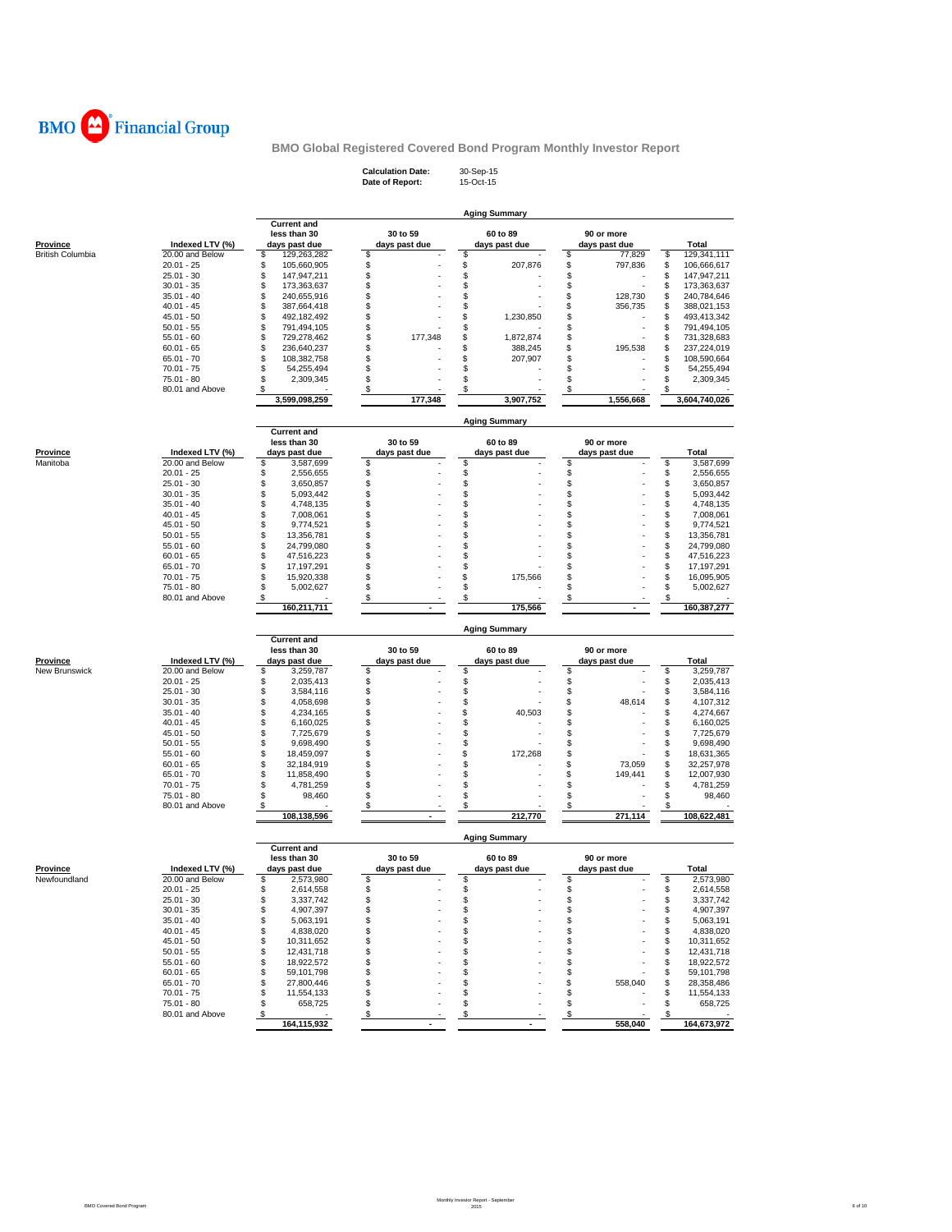

**Calculation Date:** 30-Sep-15 **Date of Report:** 15-Oct-15

|                                            |                                    |                                    |                           | <b>Aging Summary</b>      |                               |                            |
|--------------------------------------------|------------------------------------|------------------------------------|---------------------------|---------------------------|-------------------------------|----------------------------|
|                                            |                                    | <b>Current and</b><br>less than 30 | 30 to 59                  | 60 to 89                  | 90 or more                    |                            |
| <b>Province</b><br><b>British Columbia</b> | Indexed LTV (%)<br>20.00 and Below | days past due<br>\$<br>129,263,282 | days past due<br>\$       | days past due<br>\$       | days past due<br>\$<br>77,829 | Total<br>\$<br>129,341,111 |
|                                            | $20.01 - 25$                       | \$<br>105,660,905                  | \$                        | \$<br>207,876             | \$<br>797,836                 | \$<br>106,666,617          |
|                                            | $25.01 - 30$                       | \$<br>147,947,211                  | \$                        | \$                        | \$                            | \$<br>147,947,211          |
|                                            | $30.01 - 35$                       | \$<br>173,363,637                  | \$                        | \$                        | \$                            | \$<br>173,363,637          |
|                                            | $35.01 - 40$                       | \$<br>240,655,916                  | \$                        | \$                        | \$<br>128,730                 | \$<br>240,784,646          |
|                                            | $40.01 - 45$                       | \$<br>387,664,418                  | \$                        | \$                        | \$<br>356,735                 | \$<br>388,021,153          |
|                                            | $45.01 - 50$                       | \$<br>492,182,492                  | \$                        | \$<br>1,230,850           | \$                            | \$<br>493,413,342          |
|                                            | $50.01 - 55$                       | \$<br>791,494,105                  | \$                        | \$                        | \$                            | \$<br>791,494,105          |
|                                            | $55.01 - 60$                       | \$<br>729,278,462                  | \$<br>177,348             | \$<br>1,872,874           | \$                            | \$<br>731,328,683          |
|                                            | $60.01 - 65$                       | \$<br>236,640,237                  | \$                        | \$<br>388,245             | \$<br>195,538                 | \$<br>237,224,019          |
|                                            | $65.01 - 70$                       | \$<br>108,382,758                  | \$                        | \$<br>207,907             | \$                            | \$<br>108,590,664          |
|                                            | $70.01 - 75$                       | \$<br>54,255,494                   | \$                        | \$                        | \$                            | \$<br>54,255,494           |
|                                            | 75.01 - 80                         | \$<br>2,309,345                    | \$                        | \$                        | \$                            | \$<br>2,309,345            |
|                                            | 80.01 and Above                    | \$                                 | \$                        | \$                        | \$                            | \$                         |
|                                            |                                    | 3,599,098,259                      | 177,348                   | 3,907,752                 | 1,556,668                     | 3,604,740,026              |
|                                            |                                    | <b>Current and</b>                 |                           | Aging Summary             |                               |                            |
| <b>Province</b>                            | Indexed LTV (%)                    | less than 30<br>days past due      | 30 to 59<br>days past due | 60 to 89<br>days past due | 90 or more<br>days past due   | Total                      |
| Manitoba                                   | 20.00 and Below                    | \$<br>3,587,699                    | \$                        | \$                        | \$                            | \$<br>3,587,699            |
|                                            | $20.01 - 25$                       | \$<br>2,556,655                    | \$                        | \$                        | \$                            | \$<br>2,556,655            |
|                                            | $25.01 - 30$                       | \$<br>3,650,857                    | \$                        | \$                        | \$                            | \$<br>3,650,857            |
|                                            | $30.01 - 35$                       | \$<br>5,093,442                    | \$                        | \$                        | \$                            | \$<br>5,093,442            |
|                                            | $35.01 - 40$                       | \$<br>4,748,135                    | \$                        | \$                        | \$                            | \$<br>4,748,135            |
|                                            | $40.01 - 45$                       | \$<br>7,008,061                    | \$                        | \$                        | \$                            | \$<br>7,008,061            |
|                                            | $45.01 - 50$                       | \$<br>9,774,521                    | \$                        | \$                        | \$                            | \$<br>9,774,521            |
|                                            | $50.01 - 55$                       | \$<br>13,356,781                   | \$                        | \$                        | \$                            | \$<br>13,356,781           |
|                                            | $55.01 - 60$                       | \$<br>24,799,080                   | \$                        | \$                        | \$                            | \$<br>24,799,080           |
|                                            | $60.01 - 65$                       | \$<br>47,516,223                   | \$                        | \$                        | \$                            | \$<br>47,516,223           |
|                                            | $65.01 - 70$                       | \$<br>17,197,291                   | \$                        | \$                        | \$                            | \$<br>17,197,291           |
|                                            | $70.01 - 75$                       | \$<br>15,920,338                   | \$                        | \$<br>175,566             | \$                            | \$<br>16,095,905           |
|                                            | 75.01 - 80                         | \$<br>5,002,627                    | \$                        | \$                        | \$                            | \$<br>5,002,627            |
|                                            | 80.01 and Above                    | \$                                 | \$                        | \$                        | \$                            | \$                         |
|                                            |                                    | 160,211,711                        |                           | 175,566                   |                               | 160,387,277                |
|                                            |                                    | <b>Current and</b>                 |                           | <b>Aging Summary</b>      |                               |                            |
|                                            |                                    | less than 30                       | 30 to 59<br>days past due | 60 to 89                  | 90 or more                    | Total                      |
| <b>Province</b><br>New Brunswick           | Indexed LTV (%)<br>20.00 and Below | days past due<br>\$<br>3,259,787   | \$                        | days past due<br>\$       | days past due<br>\$           | \$<br>3,259,787            |
|                                            | $20.01 - 25$                       | \$<br>2,035,413                    | \$                        | \$                        | \$                            | \$<br>2,035,413            |
|                                            | $25.01 - 30$                       | \$<br>3,584,116                    | \$                        | \$                        | \$                            | \$<br>3,584,116            |
|                                            | $30.01 - 35$                       | \$<br>4,058,698                    | \$                        | \$                        | \$<br>48,614                  | \$<br>4,107,312            |
|                                            | $35.01 - 40$                       | \$<br>4,234,165                    | \$                        | \$<br>40,503              | \$                            | \$<br>4,274,667            |
|                                            | $40.01 - 45$                       | \$<br>6,160,025                    | \$                        | \$                        | \$                            | \$<br>6,160,025            |
|                                            | $45.01 - 50$                       | \$<br>7,725,679                    | \$                        | \$                        | \$                            | \$<br>7,725,679            |
|                                            | $50.01 - 55$                       | \$<br>9,698,490                    | \$                        | \$                        | \$                            | \$<br>9,698,490            |
|                                            | $55.01 - 60$                       | \$<br>18,459,097                   | \$                        | \$<br>172,268             | \$                            | \$<br>18,631,365           |
|                                            | $60.01 - 65$                       | \$<br>32,184,919                   | \$                        | \$                        | \$<br>73,059                  | \$<br>32,257,978           |
|                                            | $65.01 - 70$                       | \$<br>11,858,490                   | \$                        | \$                        | \$<br>149,441                 | \$<br>12,007,930           |
|                                            | $70.01 - 75$                       | \$<br>4,781,259                    | \$                        | \$                        | \$                            | \$<br>4,781,259            |
|                                            | $75.01 - 80$                       | \$<br>98,460                       | \$                        | \$                        | \$                            | \$<br>98,460               |
|                                            | 80.01 and Above                    | \$.<br>108,138,596                 | \$                        | \$<br>212,770             | \$<br>271,114                 | \$<br>108,622,481          |
|                                            |                                    |                                    |                           | <b>Aging Summary</b>      |                               |                            |
|                                            |                                    | <b>Current and</b>                 | 30 to 59                  |                           |                               |                            |
|                                            | Indexed LTV (%)                    | less than 30<br>days past due      | days past due             | 60 to 89<br>days past due | 90 or more<br>days past due   | <b>Total</b>               |
| <b>Province</b><br>Newfoundland            | 20.00 and Below                    | \$<br>2,573,980                    | \$                        | \$                        | \$                            | \$<br>2,573,980            |
|                                            | 20.01 - 25                         | \$<br>2,614,558                    | \$                        | \$                        | S                             | \$<br>2,614,558            |
|                                            | $25.01 - 30$                       | \$<br>3,337,742                    | \$                        | \$                        | \$                            | \$<br>3,337,742            |
|                                            |                                    | \$<br>4,907,397                    | \$                        | \$                        | \$                            | \$<br>4,907,397            |
|                                            |                                    |                                    |                           |                           |                               |                            |
|                                            | $30.01 - 35$                       |                                    |                           |                           |                               |                            |
|                                            | $35.01 - 40$                       | \$<br>5,063,191                    | \$                        | \$                        | \$                            | \$<br>5,063,191            |
|                                            | $40.01 - 45$                       | \$<br>4,838,020                    | \$                        | \$                        | \$                            | \$<br>4,838,020            |
|                                            | $45.01 - 50$                       | \$<br>10,311,652                   | \$                        | \$                        | \$                            | \$<br>10,311,652           |
|                                            | $50.01 - 55$                       | \$<br>12,431,718                   | \$                        | \$                        | \$                            | \$<br>12,431,718           |
|                                            | $55.01 - 60$                       | \$<br>18,922,572                   | \$                        | \$                        | \$                            | \$<br>18,922,572           |
|                                            | $60.01 - 65$                       | \$<br>59,101,798                   | \$                        | \$                        | \$                            | 59,101,798<br>\$           |
|                                            | $65.01 - 70$                       | \$<br>27,800,446                   | \$                        | \$                        | \$<br>558,040                 | \$<br>28,358,486           |
|                                            | $70.01 - 75$                       | \$<br>11,554,133                   | \$                        | \$                        | \$                            | 11,554,133<br>\$           |
|                                            | $75.01 - 80$<br>80.01 and Above    | \$<br>658,725<br>\$                | \$<br>\$                  | \$<br>\$                  | \$<br>\$                      | 658,725<br>\$<br>\$        |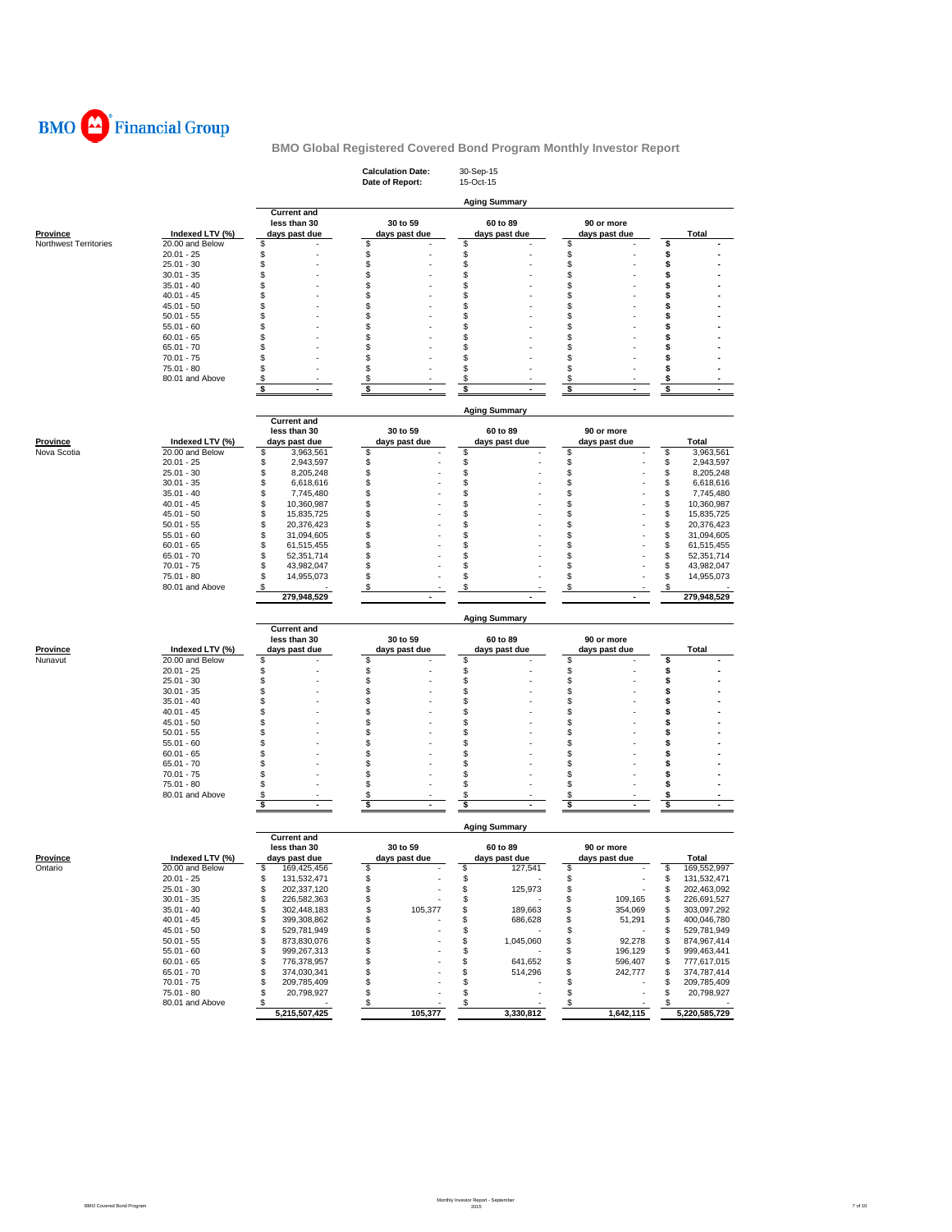

|                       |                                 |                                        | <b>Calculation Date:</b><br>Date of Report: | 30-Sep-15<br>15-Oct-15    |                               |                                        |
|-----------------------|---------------------------------|----------------------------------------|---------------------------------------------|---------------------------|-------------------------------|----------------------------------------|
|                       |                                 |                                        |                                             | <b>Aging Summary</b>      |                               |                                        |
|                       |                                 | <b>Current and</b>                     |                                             |                           |                               |                                        |
| Province              | Indexed LTV (%)                 | less than 30<br>days past due          | 30 to 59<br>days past due                   | 60 to 89<br>days past due | 90 or more<br>days past due   | Total                                  |
| Northwest Territories | 20.00 and Below                 | \$                                     | \$                                          | \$                        | \$                            | \$                                     |
|                       | $20.01 - 25$<br>$25.01 - 30$    | \$<br>\$                               | \$<br>\$                                    | \$<br>\$                  | \$<br>\$                      | \$<br>\$                               |
|                       | $30.01 - 35$                    | S                                      | \$                                          | \$                        | \$                            | \$                                     |
|                       | $35.01 - 40$                    | \$                                     | \$                                          | \$                        | \$                            | \$                                     |
|                       | $40.01 - 45$                    | \$                                     | \$                                          | \$                        | \$                            | \$                                     |
|                       | $45.01 - 50$<br>$50.01 - 55$    | \$<br>\$                               | \$<br>\$                                    | \$<br>\$                  | \$<br>\$                      | \$<br>\$                               |
|                       | $55.01 - 60$                    | S                                      | \$                                          | \$                        | \$                            | \$                                     |
|                       | $60.01 - 65$                    | \$                                     | \$                                          | \$                        | \$                            | \$                                     |
|                       | $65.01 - 70$                    | S                                      | \$                                          | \$                        | \$                            | \$                                     |
|                       | $70.01 - 75$<br>$75.01 - 80$    | \$<br>\$                               | \$<br>\$                                    | \$<br>\$                  | \$<br>\$                      | \$<br>\$                               |
|                       | 80.01 and Above                 | \$                                     | \$                                          | \$                        | \$                            | \$                                     |
|                       |                                 | \$                                     | \$<br>$\blacksquare$                        | \$                        | \$                            | \$                                     |
|                       |                                 |                                        |                                             |                           |                               |                                        |
|                       |                                 | <b>Current and</b>                     |                                             | <b>Aging Summary</b>      |                               |                                        |
|                       |                                 | less than 30                           | 30 to 59                                    | 60 to 89                  | 90 or more                    |                                        |
| Province              | Indexed LTV (%)                 | days past due                          | days past due                               | days past due             | days past due                 | Total                                  |
| Nova Scotia           | 20.00 and Below<br>$20.01 - 25$ | 3,963,561<br>\$<br>\$<br>2,943,597     | \$<br>\$                                    | \$<br>\$                  | \$<br>\$                      | \$<br>3,963,561<br>\$<br>2,943,597     |
|                       | $25.01 - 30$                    | \$<br>8,205,248                        | \$                                          | \$                        | \$                            | \$<br>8,205,248                        |
|                       | $30.01 - 35$                    | \$<br>6,618,616                        | \$                                          | \$                        | \$                            | \$<br>6,618,616                        |
|                       | $35.01 - 40$                    | \$<br>7,745,480                        | \$                                          | \$                        | \$                            | \$<br>7,745,480                        |
|                       | $40.01 - 45$<br>$45.01 - 50$    | \$<br>10,360,987<br>\$                 | \$<br>\$                                    | \$<br>\$                  | \$<br>\$                      | \$<br>10,360,987<br>\$                 |
|                       | $50.01 - 55$                    | 15,835,725<br>\$<br>20,376,423         | \$                                          | \$                        | \$                            | 15,835,725<br>\$<br>20,376,423         |
|                       | $55.01 - 60$                    | \$<br>31,094,605                       | \$                                          | \$                        | \$                            | \$<br>31,094,605                       |
|                       | $60.01 - 65$                    | \$<br>61,515,455                       | \$                                          | \$                        | \$                            | \$<br>61,515,455                       |
|                       | $65.01 - 70$                    | \$<br>52,351,714                       | \$                                          | \$                        | \$                            | \$<br>52,351,714                       |
|                       | $70.01 - 75$<br>$75.01 - 80$    | \$<br>43,982,047<br>\$<br>14,955,073   | \$<br>\$                                    | \$<br>\$                  | \$<br>\$                      | \$<br>43,982,047<br>\$<br>14,955,073   |
|                       | 80.01 and Above                 | \$                                     | \$                                          | \$                        | \$                            | \$                                     |
|                       |                                 | 279,948,529                            |                                             |                           |                               | 279,948,529                            |
|                       |                                 |                                        |                                             | <b>Aging Summary</b>      |                               |                                        |
|                       |                                 | <b>Current and</b>                     |                                             |                           |                               |                                        |
| <b>Province</b>       | Indexed LTV (%)                 | less than 30<br>days past due          | 30 to 59<br>days past due                   | 60 to 89<br>days past due | 90 or more<br>days past due   | Total                                  |
| Nunavut               | 20.00 and Below                 | \$                                     | \$                                          | \$                        | \$                            | \$                                     |
|                       | $20.01 - 25$                    | \$                                     | \$                                          | \$                        | \$                            | \$                                     |
|                       | $25.01 - 30$                    | \$                                     | \$                                          | \$                        | \$                            | \$                                     |
|                       | $30.01 - 35$<br>$35.01 - 40$    | \$<br>\$                               | \$<br>\$                                    | \$<br>\$                  | \$<br>\$                      | \$<br>\$                               |
|                       | $40.01 - 45$                    | \$                                     | \$                                          | \$                        | \$                            | \$                                     |
|                       | $45.01 - 50$                    | \$                                     | \$                                          | \$                        | \$                            | \$                                     |
|                       | $50.01 - 55$                    | S                                      | \$                                          | \$                        | \$                            | \$                                     |
|                       | $55.01 - 60$                    | \$<br>\$                               | \$                                          | \$<br>\$                  | \$<br>\$                      | \$                                     |
|                       | $60.01 - 65$<br>$65.01 - 70$    | \$                                     | \$<br>\$                                    | \$                        | \$                            | \$<br>\$                               |
|                       | $70.01 - 75$                    | \$                                     | \$                                          | \$                        | \$                            | \$                                     |
|                       | 75.01 - 80                      | \$                                     | \$                                          | \$                        | \$                            | \$                                     |
|                       | 80.01 and Above                 | \$<br>\$                               | \$<br>\$                                    | \$<br>\$                  | \$<br>\$                      | \$<br>\$                               |
|                       |                                 |                                        |                                             |                           |                               |                                        |
|                       |                                 | <b>Current and</b>                     |                                             | <b>Aging Summary</b>      |                               |                                        |
|                       |                                 | less than 30                           | 30 to 59                                    | 60 to 89                  | 90 or more                    |                                        |
| <b>Province</b>       | Indexed LTV (%)                 | days past due                          | days past due                               | days past due             | days past due                 | Total                                  |
| Ontario               | 20.00 and Below                 | \$<br>169,425,456                      | 2                                           | \$<br>127,541             | \$                            | s<br>169,552,997                       |
|                       | $20.01 - 25$<br>$25.01 - 30$    | \$<br>131,532,471<br>\$<br>202,337,120 | \$<br>\$                                    | \$<br>\$<br>125,973       | \$<br>\$                      | \$<br>131,532,471<br>\$<br>202,463,092 |
|                       | $30.01 - 35$                    | \$<br>226,582,363                      | \$                                          | \$                        | \$<br>109,165                 | 226,691,527<br>\$                      |
|                       | $35.01 - 40$                    | \$<br>302,448,183                      | \$<br>105,377                               | \$<br>189,663             | \$<br>354,069                 | 303,097,292<br>\$                      |
|                       | $40.01 - 45$                    | \$<br>399,308,862                      | \$                                          | \$<br>686,628             | \$<br>51,291                  | \$<br>400,046,780                      |
|                       | $45.01 - 50$                    | \$<br>529,781,949                      | \$                                          | \$                        | \$                            | \$<br>529,781,949                      |
|                       | $50.01 - 55$<br>$55.01 - 60$    | \$<br>873,830,076<br>\$<br>999,267,313 | \$<br>\$                                    | \$<br>1,045,060<br>\$     | \$<br>92,278<br>\$<br>196,129 | 874,967,414<br>\$<br>\$<br>999,463,441 |
|                       | $60.01 - 65$                    | \$<br>776,378,957                      | \$                                          | \$<br>641,652             | \$<br>596,407                 | 777,617,015<br>\$                      |
|                       | $65.01 - 70$                    | \$<br>374,030,341                      | \$                                          | \$<br>514,296             | \$<br>242,777                 | \$<br>374,787,414                      |
|                       | $70.01 - 75$                    | \$<br>209,785,409                      | \$                                          | \$                        | \$                            | 209,785,409<br>\$                      |
|                       | 75.01 - 80<br>80.01 and Above   | \$<br>20,798,927<br>\$                 | \$<br>\$                                    | \$<br>\$                  | \$<br>\$                      | \$<br>20,798,927<br>\$                 |
|                       |                                 | 5,215,507,425                          | 105,377                                     | 3,330,812                 | 1,642,115                     | 5,220,585,729                          |

Monthly Investor Report - September 2015 7 of 10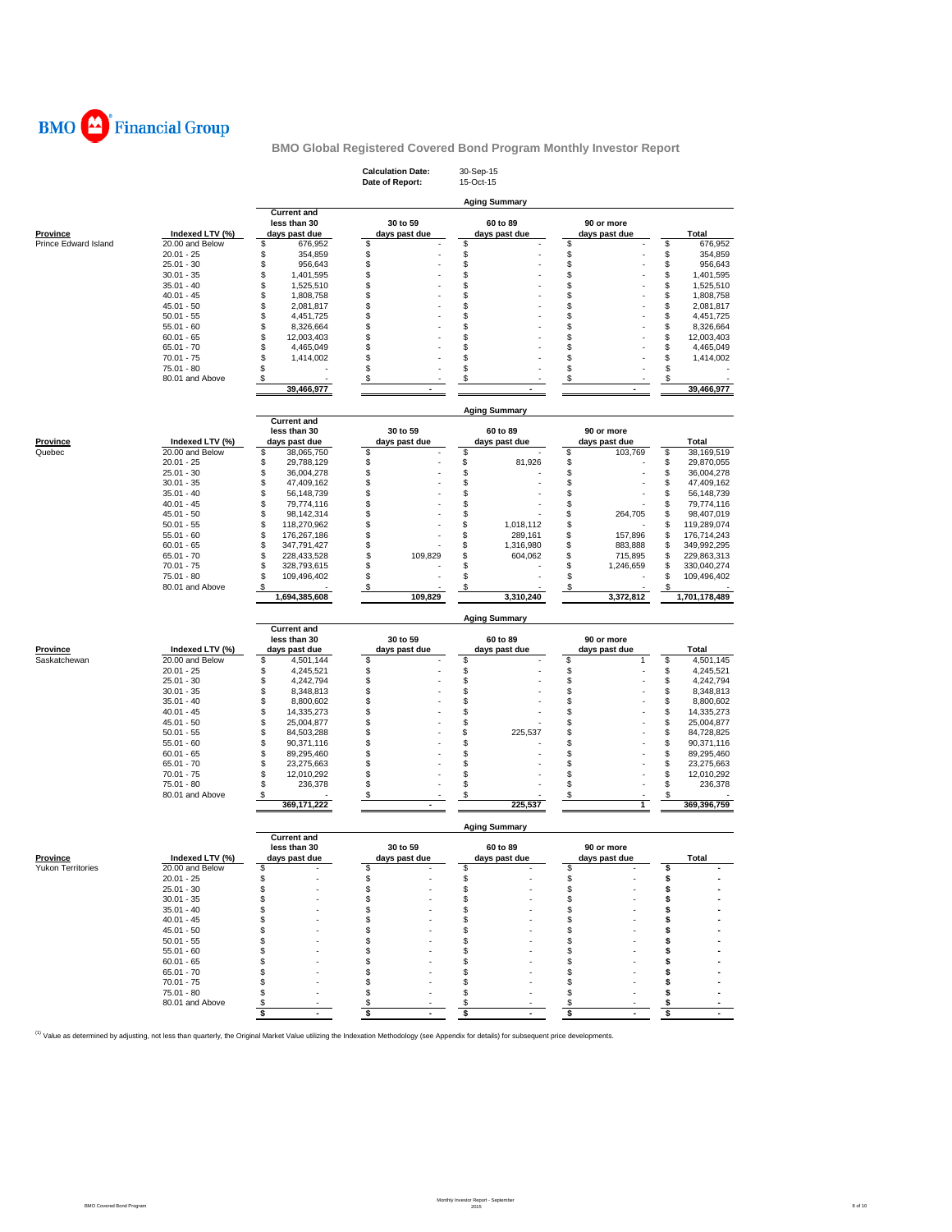

|                      |                                 |                                                     | <b>Calculation Date:</b><br>Date of Report: | 30-Sep-15<br>15-Oct-15    |                             |                                      |
|----------------------|---------------------------------|-----------------------------------------------------|---------------------------------------------|---------------------------|-----------------------------|--------------------------------------|
|                      |                                 |                                                     |                                             | <b>Aging Summary</b>      |                             |                                      |
| <b>Province</b>      | Indexed LTV (%)                 | <b>Current and</b><br>less than 30<br>days past due | 30 to 59<br>days past due                   | 60 to 89<br>days past due | 90 or more<br>days past due | <b>Total</b>                         |
| Prince Edward Island | 20.00 and Below<br>$20.01 - 25$ | \$<br>676,952<br>\$<br>354,859                      | \$<br>\$                                    | \$<br>\$                  | \$<br>\$                    | \$<br>676,952<br>\$<br>354,859       |
|                      | $25.01 - 30$                    | \$<br>956,643                                       | \$                                          | \$                        | \$                          | \$<br>956,643                        |
|                      | $30.01 - 35$                    | \$<br>1,401,595                                     | \$                                          | \$                        | \$                          | \$<br>1,401,595                      |
|                      | $35.01 - 40$                    | \$<br>1,525,510                                     | \$                                          | \$                        | \$                          | \$<br>1,525,510                      |
|                      | 40.01 - 45                      | \$<br>1,808,758                                     | \$                                          | \$                        | \$                          | \$<br>1,808,758                      |
|                      | $45.01 - 50$                    | \$<br>2,081,817                                     | \$                                          | \$                        | \$                          | \$<br>2,081,817                      |
|                      | $50.01 - 55$<br>$55.01 - 60$    | \$<br>4,451,725<br>\$<br>8,326,664                  | \$<br>\$                                    | \$<br>\$                  | \$<br>\$                    | \$<br>4,451,725<br>8,326,664<br>\$   |
|                      | $60.01 - 65$                    | \$<br>12,003,403                                    | \$                                          | \$                        | \$                          | \$<br>12,003,403                     |
|                      | $65.01 - 70$                    | \$<br>4,465,049                                     | \$                                          | \$                        | \$                          | \$<br>4,465,049                      |
|                      | $70.01 - 75$                    | \$<br>1,414,002                                     | \$                                          | \$                        | \$                          | \$<br>1,414,002                      |
|                      | 75.01 - 80                      | \$                                                  | \$                                          | \$                        | \$                          | \$                                   |
|                      | 80.01 and Above                 | \$<br>39,466,977                                    | \$                                          | \$                        | \$                          | \$<br>39,466,977                     |
|                      |                                 |                                                     |                                             | <b>Aging Summary</b>      |                             |                                      |
| Province             | Indexed LTV (%)                 | <b>Current and</b><br>less than 30<br>days past due | 30 to 59<br>days past due                   | 60 to 89<br>days past due | 90 or more<br>days past due | <b>Total</b>                         |
| Quebec               | 20.00 and Below                 | \$<br>38,065,750                                    | \$                                          | \$                        | \$<br>103,769               | \$<br>38,169,519                     |
|                      | $20.01 - 25$                    | \$<br>29,788,129                                    | \$                                          | \$<br>81,926              | \$                          | \$<br>29,870,055                     |
|                      | $25.01 - 30$                    | \$<br>36,004,278                                    | \$                                          | \$                        | \$                          | 36,004,278<br>\$                     |
|                      | $30.01 - 35$                    | \$<br>47,409,162                                    | \$                                          | \$                        | \$                          | \$<br>47,409,162                     |
|                      | $35.01 - 40$                    | \$<br>56,148,739                                    | \$                                          | \$                        | \$                          | \$<br>56,148,739                     |
|                      | $40.01 - 45$                    | \$<br>79,774,116                                    | \$                                          | \$                        | \$<br>264,705               | 79,774,116<br>\$<br>98,407,019       |
|                      | $45.01 - 50$<br>$50.01 - 55$    | \$<br>98,142,314<br>\$<br>118,270,962               | \$<br>\$                                    | \$<br>\$<br>1,018,112     | \$<br>\$                    | \$<br>\$<br>119,289,074              |
|                      | $55.01 - 60$                    | \$<br>176,267,186                                   | \$                                          | \$<br>289,161             | \$<br>157,896               | \$<br>176,714,243                    |
|                      | $60.01 - 65$                    | \$<br>347,791,427                                   | \$                                          | \$<br>1,316,980           | \$<br>883,888               | \$<br>349,992,295                    |
|                      | $65.01 - 70$                    | \$<br>228,433,528                                   | \$<br>109,829                               | \$<br>604,062             | \$<br>715,895               | \$<br>229,863,313                    |
|                      | $70.01 - 75$                    | \$<br>328,793,615                                   | \$                                          | \$                        | \$<br>1,246,659             | \$<br>330,040,274                    |
|                      | 75.01 - 80                      | \$<br>109,496,402                                   | \$                                          | \$                        | \$                          | \$<br>109,496,402                    |
|                      |                                 |                                                     |                                             |                           |                             |                                      |
|                      | 80.01 and Above                 | S<br>1,694,385,608                                  | \$<br>109,829                               | \$<br>3,310,240           | \$<br>3,372,812             | 1,701,178,489                        |
|                      |                                 |                                                     |                                             |                           |                             |                                      |
|                      |                                 | <b>Current and</b>                                  |                                             | <b>Aging Summary</b>      |                             |                                      |
| Province             | Indexed LTV (%)                 | less than 30<br>days past due                       | 30 to 59<br>days past due                   | 60 to 89<br>days past due | 90 or more<br>days past due | Total                                |
| Saskatchewan         | 20.00 and Below                 | \$<br>4,501,144                                     | \$                                          | \$                        | \$<br>1                     | \$<br>4,501,145                      |
|                      | $20.01 - 25$                    | \$<br>4,245,521                                     | \$                                          | \$                        | \$                          | \$<br>4,245,521                      |
|                      | 25.01 - 30                      | \$<br>4,242,794                                     | \$                                          | \$                        | \$                          | \$<br>4,242,794                      |
|                      | $30.01 - 35$                    | \$<br>8,348,813                                     | \$                                          | \$                        | \$                          | \$<br>8,348,813                      |
|                      | $35.01 - 40$                    | \$<br>8,800,602                                     | \$                                          | \$                        | \$                          | \$<br>8,800,602                      |
|                      | $40.01 - 45$<br>45.01 - 50      | \$<br>14,335,273<br>\$<br>25,004,877                | \$<br>\$                                    | \$<br>\$                  | \$<br>\$                    | \$<br>14,335,273<br>\$<br>25,004,877 |
|                      | $50.01 - 55$                    | \$<br>84,503,288                                    | \$                                          | \$<br>225,537             | \$                          | \$<br>84,728,825                     |
|                      | 55.01 - 60                      | \$<br>90,371,116                                    | \$                                          | \$                        | \$                          | \$<br>90,371,116                     |
|                      | $60.01 - 65$                    | \$<br>89,295,460                                    | \$                                          | \$                        | \$                          | \$<br>89,295,460                     |
|                      | $65.01 - 70$                    | \$<br>23,275,663                                    | \$                                          | \$                        | \$                          | \$<br>23,275,663                     |
|                      | $70.01 - 75$<br>75.01 - 80      | \$<br>12,010,292                                    | \$                                          | \$                        | \$<br>\$                    | \$<br>12,010,292<br>\$               |
|                      | 80.01 and Above                 | \$<br>236,378<br>\$                                 | \$<br>\$                                    | \$<br>\$                  | \$                          | 236,378<br>\$                        |
|                      |                                 | 369,171,222                                         |                                             | 225,537                   | 1                           | 369,396,759                          |
|                      |                                 | <b>Current and</b>                                  |                                             | <b>Aging Summary</b>      |                             |                                      |
| <b>Province</b>      | Indexed LTV (%)                 | less than 30<br>days past due                       | 30 to 59<br>days past due                   | 60 to 89<br>days past due | 90 or more<br>days past due | Total                                |
| Yukon Territories    | 20.00 and Below                 | \$                                                  | \$                                          | \$                        | \$                          | \$                                   |
|                      | $20.01 - 25$                    | \$                                                  | \$                                          | \$                        | \$                          | \$                                   |
|                      | $25.01 - 30$                    | \$                                                  | \$                                          | \$                        | \$                          | \$                                   |
|                      | $30.01 - 35$                    | \$                                                  | \$                                          | \$                        | \$                          | S                                    |
|                      | $35.01 - 40$                    | \$                                                  | \$                                          | \$                        | \$                          | s                                    |
|                      | $40.01 - 45$<br>$45.01 - 50$    | s<br>S                                              | \$<br>\$                                    | \$<br>\$                  | \$<br>\$                    | s                                    |
|                      | $50.01 - 55$                    | я                                                   | \$                                          | S                         | \$                          | s                                    |
|                      | $55.01 - 60$                    | S                                                   | \$                                          | \$                        | \$                          | \$                                   |
|                      | $60.01 - 65$                    | s                                                   | \$                                          | \$.                       | \$                          | S                                    |
|                      | $65.01 - 70$                    | s                                                   | \$                                          | \$                        | \$                          | s                                    |
|                      | $70.01 - 75$                    |                                                     | \$                                          | \$.                       | \$                          | S                                    |
|                      | 75.01 - 80<br>80.01 and Above   | s                                                   | \$<br>\$                                    | \$<br>\$                  | \$<br>\$                    | s<br>s                               |

<sup>(1)</sup> Value as determined by adjusting, not less than quarterly, the Original Market Value utilizing the Indexation Methodology (see Appendix for details) for subsequent price developments.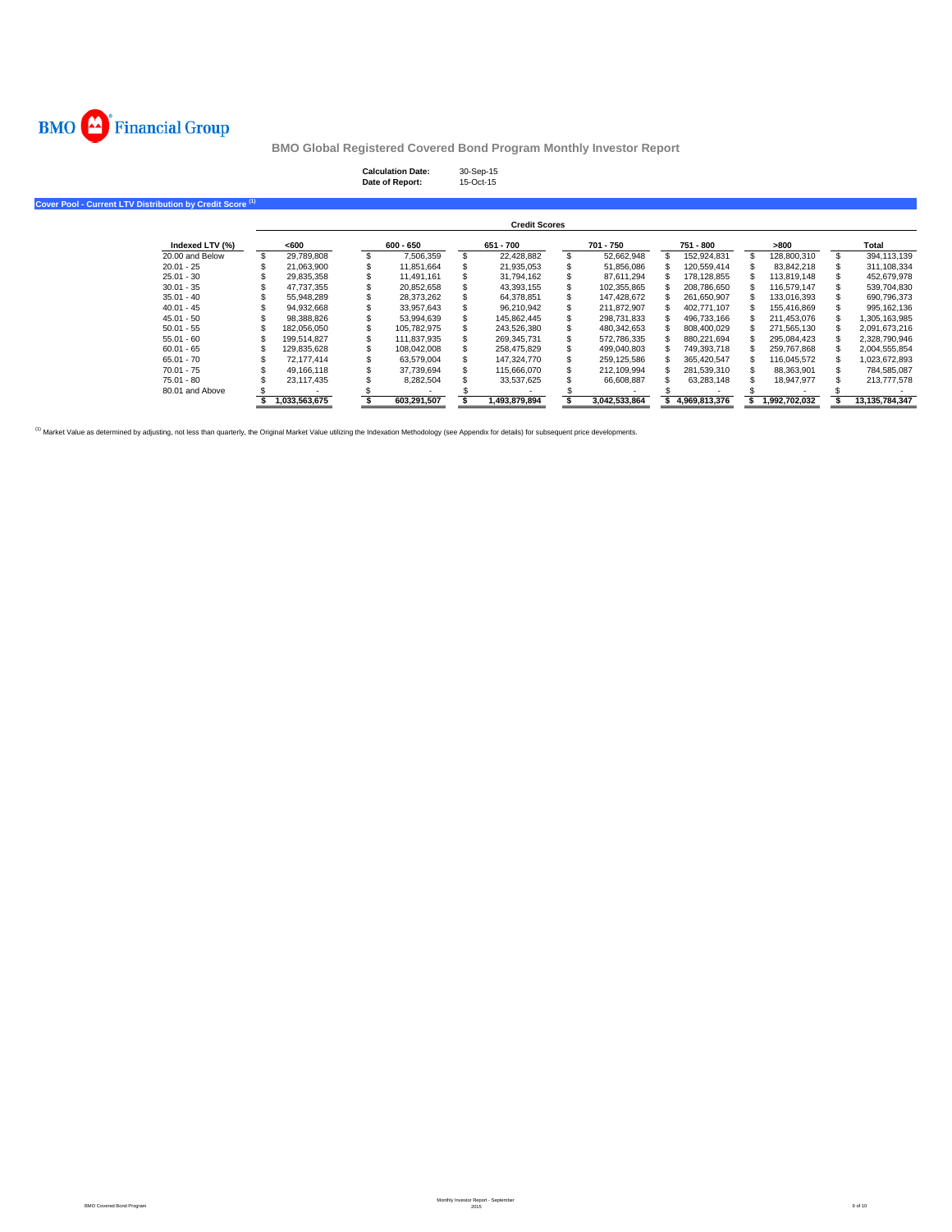

## **Calculation Date:** 30-Sep-15 **Date of Report:** 15-Oct-15

**Cover Pool - Current LTV Distribution by Credit Score (1)**

|                 |                  |             | <b>Credit Scores</b> |   |               |               |               |                |
|-----------------|------------------|-------------|----------------------|---|---------------|---------------|---------------|----------------|
| Indexed LTV (%) | <600             | 600 - 650   | 651 - 700            |   | 701 - 750     | 751 - 800     | >800          | Total          |
| 20,00 and Below | \$<br>29.789.808 | 7.506.359   | 22.428.882           |   | 52.662.948    | 152.924.831   | 128,800,310   | 394.113.139    |
| $20.01 - 25$    | 21.063.900       | 11.851.664  | 21.935.053           |   | 51,856,086    | 120.559.414   | 83.842.218    | 311.108.334    |
| $25.01 - 30$    | 29.835.358       | 11.491.161  | 31.794.162           |   | 87.611.294    | 178.128.855   | 113.819.148   | 452.679.978    |
| $30.01 - 35$    | 47.737.355       | 20,852,658  | 43,393,155           |   | 102,355,865   | 208.786.650   | 116.579.147   | 539,704,830    |
| $35.01 - 40$    | 55.948.289       | 28.373.262  | 64.378.851           |   | 147.428.672   | 261.650.907   | 133.016.393   | 690.796.373    |
| $40.01 - 45$    | 94.932.668       | 33.957.643  | 96.210.942           | S | 211.872.907   | 402.771.107   | 155.416.869   | 995.162.136    |
| $45.01 - 50$    | 98.388.826       | 53.994.639  | 145.862.445          |   | 298.731.833   | 496.733.166   | 211.453.076   | 1.305.163.985  |
| $50.01 - 55$    | 182.056.050      | 105.782.975 | 243,526,380          |   | 480.342.653   | 808.400.029   | 271,565,130   | 2,091,673,216  |
| $55.01 - 60$    | 199.514.827      | 111.837.935 | 269.345.731          |   | 572.786.335   | 880.221.694   | 295.084.423   | 2.328.790.946  |
| $60.01 - 65$    | 129.835.628      | 108.042.008 | 258.475.829          |   | 499.040.803   | 749.393.718   | 259.767.868   | 2,004,555,854  |
| $65.01 - 70$    | 72.177.414       | 63.579.004  | 147.324.770          |   | 259.125.586   | 365.420.547   | 116.045.572   | 1,023,672,893  |
| $70.01 - 75$    | 49.166.118       | 37.739.694  | 115,666,070          |   | 212.109.994   | 281.539.310   | 88.363.901    | 784.585.087    |
| 75.01 - 80      | 23.117.435       | 8,282,504   | 33,537,625           |   | 66,608,887    | 63.283.148    | 18.947.977    | 213,777,578    |
| 80.01 and Above |                  |             |                      |   |               |               |               |                |
|                 | 1.033.563.675    | 603.291.507 | 1.493.879.894        |   | 3.042.533.864 | 4.969.813.376 | 1.992.702.032 | 13.135.784.347 |

<sup>(1)</sup> Market Value as determined by adjusting, not less than quarterly, the Original Market Value utilizing the Indexation Methodology (see Appendix for details) for subsequent price developments.